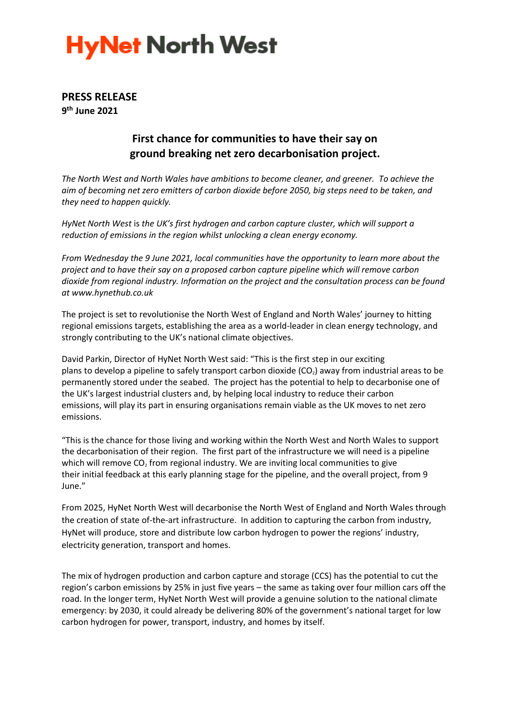## **HyNet North West**

### **PRESS RELEASE 9 th June 2021**

## **First chance for communities to have their say on ground breaking net zero decarbonisation project.**

*The North West and North Wales have ambitions to become cleaner, and greener. To achieve the aim of becoming net zero emitters of carbon dioxide before 2050, big steps need to be taken, and they need to happen quickly.*

*HyNet North West* is *the UK's first hydrogen and carbon capture cluster, which will support a reduction of emissions in the region whilst unlocking a clean energy economy.*

*From Wednesday the 9 June 2021, local communities have the opportunity to learn more about the project and to have their say on a proposed carbon capture pipeline which will remove carbon dioxide from regional industry. Information on the project and the consultation process can be found at www.hynethub.co.uk*

The project is set to revolutionise the North West of England and North Wales' journey to hitting regional emissions targets, establishing the area as a world-leader in clean energy technology, and strongly contributing to the UK's national climate objectives.

David Parkin, Director of HyNet North West said: "This is the first step in our exciting plans to develop a pipeline to safely transport carbon dioxide  $(CO<sub>2</sub>)$  away from industrial areas to be permanently stored under the seabed. The project has the potential to help to decarbonise one of the UK's largest industrial clusters and, by helping local industry to reduce their carbon emissions, will play its part in ensuring organisations remain viable as the UK moves to net zero emissions.

"This is the chance for those living and working within the North West and North Wales to support the decarbonisation of their region. The first part of the infrastructure we will need is a pipeline which will remove  $CO<sub>2</sub>$  from regional industry. We are inviting local communities to give their initial feedback at this early planning stage for the pipeline, and the overall project, from 9 June."

From 2025, HyNet North West will decarbonise the North West of England and North Wales through the creation of state of-the-art infrastructure. In addition to capturing the carbon from industry, HyNet will produce, store and distribute low carbon hydrogen to power the regions' industry, electricity generation, transport and homes.

The mix of hydrogen production and carbon capture and storage (CCS) has the potential to cut the region's carbon emissions by 25% in just five years – the same as taking over four million cars off the road. In the longer term, HyNet North West will provide a genuine solution to the national climate emergency: by 2030, it could already be delivering 80% of the government's national target for low carbon hydrogen for power, transport, industry, and homes by itself.